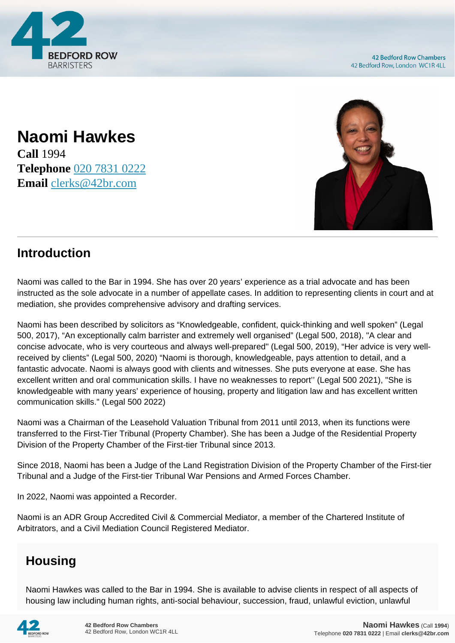

**Naomi Hawkes Call** 1994 **Telephone** [020 7831 0222](https://pdf.codeshore.co/_42br/tel:020 7831 0222) **Email** [clerks@42br.com](mailto:clerks@42br.com)



# **Introduction**

Naomi was called to the Bar in 1994. She has over 20 years' experience as a trial advocate and has been instructed as the sole advocate in a number of appellate cases. In addition to representing clients in court and at mediation, she provides comprehensive advisory and drafting services.

Naomi has been described by solicitors as "Knowledgeable, confident, quick-thinking and well spoken" (Legal 500, 2017), "An exceptionally calm barrister and extremely well organised" (Legal 500, 2018), "A clear and concise advocate, who is very courteous and always well-prepared" (Legal 500, 2019), "Her advice is very wellreceived by clients" (Legal 500, 2020) "Naomi is thorough, knowledgeable, pays attention to detail, and a fantastic advocate. Naomi is always good with clients and witnesses. She puts everyone at ease. She has excellent written and oral communication skills. I have no weaknesses to report'' (Legal 500 2021), "She is knowledgeable with many years' experience of housing, property and litigation law and has excellent written communication skills." (Legal 500 2022)

Naomi was a Chairman of the Leasehold Valuation Tribunal from 2011 until 2013, when its functions were transferred to the First-Tier Tribunal (Property Chamber). She has been a Judge of the Residential Property Division of the Property Chamber of the First-tier Tribunal since 2013.

Since 2018, Naomi has been a Judge of the Land Registration Division of the Property Chamber of the First-tier Tribunal and a Judge of the First-tier Tribunal War Pensions and Armed Forces Chamber.

In 2022, Naomi was appointed a Recorder.

Naomi is an ADR Group Accredited Civil & Commercial Mediator, a member of the Chartered Institute of Arbitrators, and a Civil Mediation Council Registered Mediator.

# **Housing**

Naomi Hawkes was called to the Bar in 1994. She is available to advise clients in respect of all aspects of housing law including human rights, anti-social behaviour, succession, fraud, unlawful eviction, unlawful

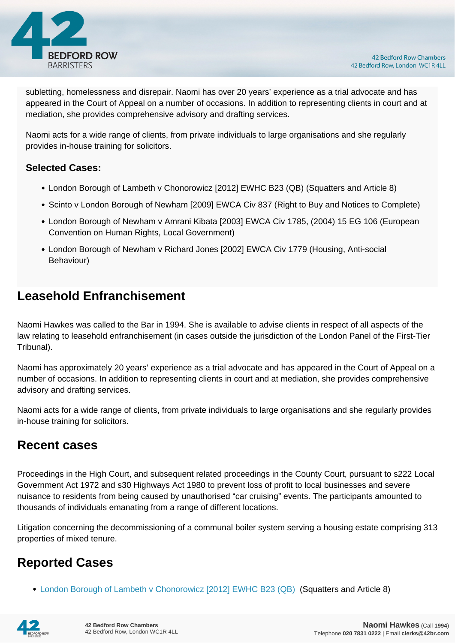

subletting, homelessness and disrepair. Naomi has over 20 years' experience as a trial advocate and has appeared in the Court of Appeal on a number of occasions. In addition to representing clients in court and at mediation, she provides comprehensive advisory and drafting services.

Naomi acts for a wide range of clients, from private individuals to large organisations and she regularly provides in-house training for solicitors.

#### **Selected Cases:**

- London Borough of Lambeth v Chonorowicz [2012] EWHC B23 (QB) (Squatters and Article 8)
- Scinto v London Borough of Newham [2009] EWCA Civ 837 (Right to Buy and Notices to Complete)
- London Borough of Newham v Amrani Kibata [2003] EWCA Civ 1785, (2004) 15 EG 106 (European Convention on Human Rights, Local Government)
- London Borough of Newham v Richard Jones [2002] EWCA Civ 1779 (Housing, Anti-social Behaviour)

#### **Leasehold Enfranchisement**

Naomi Hawkes was called to the Bar in 1994. She is available to advise clients in respect of all aspects of the law relating to leasehold enfranchisement (in cases outside the jurisdiction of the London Panel of the First-Tier Tribunal).

Naomi has approximately 20 years' experience as a trial advocate and has appeared in the Court of Appeal on a number of occasions. In addition to representing clients in court and at mediation, she provides comprehensive advisory and drafting services.

Naomi acts for a wide range of clients, from private individuals to large organisations and she regularly provides in-house training for solicitors.

### **Recent cases**

Proceedings in the High Court, and subsequent related proceedings in the County Court, pursuant to s222 Local Government Act 1972 and s30 Highways Act 1980 to prevent loss of profit to local businesses and severe nuisance to residents from being caused by unauthorised "car cruising" events. The participants amounted to thousands of individuals emanating from a range of different locations.

Litigation concerning the decommissioning of a communal boiler system serving a housing estate comprising 313 properties of mixed tenure.

### **Reported Cases**

• [London Borough of Lambeth v Chonorowicz \[2012\] EWHC B23 \(QB\)](http://www.bailii.org/ew/cases/EWHC/QB/2012/B23.html) (Squatters and Article 8)